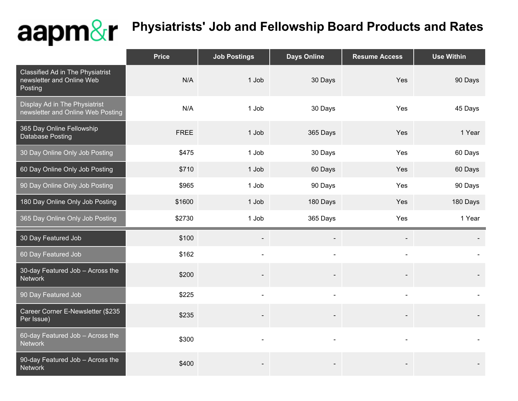## aapm&r

## **Physiatrists' Job and Fellowship Board Products and Rates**

|                                                                          | <b>Price</b> | <b>Job Postings</b>      | <b>Days Online</b> | <b>Resume Access</b>     | <b>Use Within</b> |
|--------------------------------------------------------------------------|--------------|--------------------------|--------------------|--------------------------|-------------------|
| Classified Ad in The Physiatrist<br>newsletter and Online Web<br>Posting | N/A          | 1 Job                    | 30 Days            | Yes                      | 90 Days           |
| Display Ad in The Physiatrist<br>newsletter and Online Web Posting       | N/A          | 1 Job                    | 30 Days            | Yes                      | 45 Days           |
| 365 Day Online Fellowship<br>Database Posting                            | <b>FREE</b>  | 1 Job                    | 365 Days           | Yes                      | 1 Year            |
| 30 Day Online Only Job Posting                                           | \$475        | 1 Job                    | 30 Days            | Yes                      | 60 Days           |
| 60 Day Online Only Job Posting                                           | \$710        | 1 Job                    | 60 Days            | Yes                      | 60 Days           |
| 90 Day Online Only Job Posting                                           | \$965        | 1 Job                    | 90 Days            | Yes                      | 90 Days           |
| 180 Day Online Only Job Posting                                          | \$1600       | 1 Job                    | 180 Days           | Yes                      | 180 Days          |
| 365 Day Online Only Job Posting                                          | \$2730       | 1 Job                    | 365 Days           | Yes                      | 1 Year            |
| 30 Day Featured Job                                                      | \$100        | $\overline{\phantom{a}}$ |                    | $\overline{\phantom{a}}$ |                   |
| 60 Day Featured Job                                                      | \$162        |                          |                    |                          |                   |
| 30-day Featured Job - Across the<br><b>Network</b>                       | \$200        |                          |                    |                          |                   |
| 90 Day Featured Job                                                      | \$225        | $\blacksquare$           | $\blacksquare$     |                          |                   |
| Career Corner E-Newsletter (\$235<br>Per Issue)                          | \$235        |                          |                    |                          |                   |
| 60-day Featured Job - Across the<br><b>Network</b>                       | \$300        |                          |                    |                          |                   |
| 90-day Featured Job - Across the<br><b>Network</b>                       | \$400        |                          |                    |                          |                   |